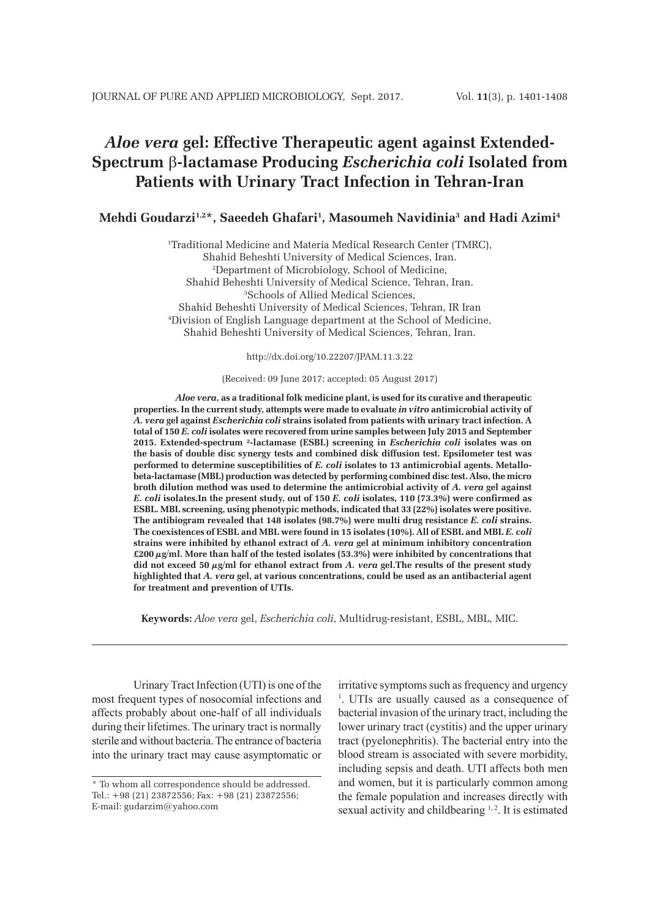# *Aloe vera* **gel: Effective Therapeutic agent against Extended-Spectrum** β**-lactamase Producing** *Escherichia coli* **Isolated from Patients with Urinary Tract Infection in Tehran-Iran**

# **Mehdi Goudarzi1,2\*, Saeedeh Ghafari1 , Masoumeh Navidinia3 and Hadi Azimi4**

1 Traditional Medicine and Materia Medical Research Center (TMRC), Shahid Beheshti University of Medical Sciences, Iran. 2 Department of Microbiology, School of Medicine, Shahid Beheshti University of Medical Science, Tehran, Iran. 3 Schools of Allied Medical Sciences, Shahid Beheshti University of Medical Sciences, Tehran, IR Iran 4 Division of English Language department at the School of Medicine, Shahid Beheshti University of Medical Sciences, Tehran, Iran.

http://dx.doi.org/10.22207/JPAM.11.3.22

#### (Received: 09 June 2017; accepted: 05 August 2017)

*Aloe vera***, as a traditional folk medicine plant, is used for its curative and therapeutic properties. In the current study, attempts were made to evaluate** *in vitro* **antimicrobial activity of**  *A. vera* **gel against** *Escherichia coli* **strains isolated from patients with urinary tract infection. A total of 150** *E. coli* **isolates were recovered from urine samples between July 2015 and September 2015. Extended-spectrum ²-lactamase (ESBL) screening in** *Escherichia coli* **isolates was on the basis of double disc synergy tests and combined disk diffusion test. Epsilometer test was performed to determine susceptibilities of** *E. coli* **isolates to 13 antimicrobial agents. Metallobeta-lactamase (MBL) production was detected by performing combined disc test. Also, the micro broth dilution method was used to determine the antimicrobial activity of** *A. vera* **gel against**  *E. coli* **isolates.In the present study, out of 150** *E. coli* **isolates, 110 (73.3%) were confirmed as ESBL. MBL screening, using phenotypic methods, indicated that 33 (22%) isolates were positive. The antibiogram revealed that 148 isolates (98.7%) were multi drug resistance** *E. coli* **strains. The coexistences of ESBL and MBL were found in 15 isolates (10%). All of ESBL and MBL** *E. coli* **strains were inhibited by ethanol extract of** *A. vera* **gel at minimum inhibitory concentration £200 µg/ml. More than half of the tested isolates (53.3%) were inhibited by concentrations that did not exceed 50 µg/ml for ethanol extract from** *A. vera* **gel.The results of the present study highlighted that** *A. vera* **gel, at various concentrations, could be used as an antibacterial agent for treatment and prevention of UTIs.**

**Keywords:** *Aloe vera* gel, *Escherichia coli*, Multidrug-resistant, ESBL, MBL, MIC.

Urinary Tract Infection (UTI) is one of the most frequent types of nosocomial infections and affects probably about one-half of all individuals during their lifetimes. The urinary tract is normally sterile and without bacteria. The entrance of bacteria into the urinary tract may cause asymptomatic or

irritative symptoms such as frequency and urgency <sup>1</sup>. UTIs are usually caused as a consequence of bacterial invasion of the urinary tract, including the lower urinary tract (cystitis) and the upper urinary tract (pyelonephritis). The bacterial entry into the blood stream is associated with severe morbidity, including sepsis and death. UTI affects both men and women, but it is particularly common among the female population and increases directly with sexual activity and childbearing <sup>1, 2</sup>. It is estimated

<sup>\*</sup> To whom all correspondence should be addressed. Tel.: +98 (21) 23872556; Fax: +98 (21) 23872556; E-mail: gudarzim@yahoo.com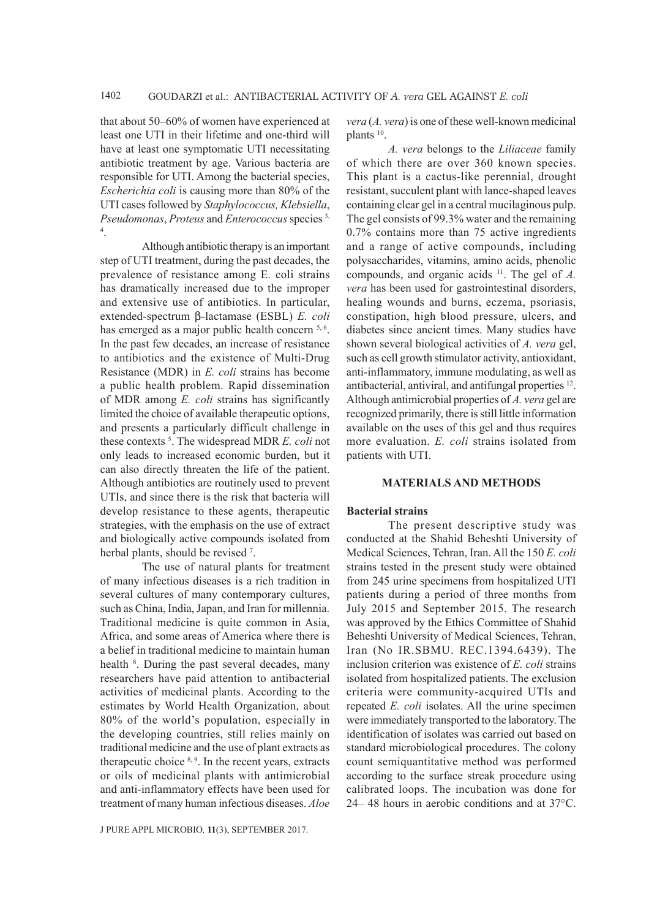that about 50–60% of women have experienced at least one UTI in their lifetime and one-third will have at least one symptomatic UTI necessitating antibiotic treatment by age. Various bacteria are responsible for UTI. Among the bacterial species, *Escherichia coli* is causing more than 80% of the UTI cases followed by *Staphylococcus, Klebsiella*, *Pseudomonas, Proteus* and *Enterococcus* species<sup>3,</sup> 4 .

Although antibiotic therapy is an important step of UTI treatment, during the past decades, the prevalence of resistance among E. coli strains has dramatically increased due to the improper and extensive use of antibiotics. In particular, extended-spectrum b-lactamase (ESBL) *E. coli* has emerged as a major public health concern  $5, 6$ . In the past few decades, an increase of resistance to antibiotics and the existence of Multi-Drug Resistance (MDR) in *E. coli* strains has become a public health problem. Rapid dissemination of MDR among *E. coli* strains has significantly limited the choice of available therapeutic options, and presents a particularly difficult challenge in these contexts 5 . The widespread MDR *E. coli* not only leads to increased economic burden, but it can also directly threaten the life of the patient. Although antibiotics are routinely used to prevent UTIs, and since there is the risk that bacteria will develop resistance to these agents, therapeutic strategies, with the emphasis on the use of extract and biologically active compounds isolated from herbal plants, should be revised 7.

The use of natural plants for treatment of many infectious diseases is a rich tradition in several cultures of many contemporary cultures, such as China, India, Japan, and Iran for millennia. Traditional medicine is quite common in Asia, Africa, and some areas of America where there is a belief in traditional medicine to maintain human health <sup>8</sup>. During the past several decades, many researchers have paid attention to antibacterial activities of medicinal plants. According to the estimates by World Health Organization, about 80% of the world's population, especially in the developing countries, still relies mainly on traditional medicine and the use of plant extracts as therapeutic choice  $8,9$ . In the recent years, extracts or oils of medicinal plants with antimicrobial and anti-inflammatory effects have been used for treatment of many human infectious diseases. *Aloe* 

*vera* (*A. vera*) is one of these well-known medicinal plants 10.

*A. vera* belongs to the *Liliaceae* family of which there are over 360 known species. This plant is a cactus-like perennial, drought resistant, succulent plant with lance-shaped leaves containing clear gel in a central mucilaginous pulp. The gel consists of 99.3% water and the remaining 0.7% contains more than 75 active ingredients and a range of active compounds, including polysaccharides, vitamins, amino acids, phenolic compounds, and organic acids 11. The gel of *A. vera* has been used for gastrointestinal disorders, healing wounds and burns, eczema, psoriasis, constipation, high blood pressure, ulcers, and diabetes since ancient times. Many studies have shown several biological activities of *A. vera* gel, such as cell growth stimulator activity, antioxidant, anti-inflammatory, immune modulating, as well as antibacterial, antiviral, and antifungal properties 12. Although antimicrobial properties of *A. vera* gel are recognized primarily, there is still little information available on the uses of this gel and thus requires more evaluation. *E. coli* strains isolated from patients with UTI.

#### **MATERIALS AND METHODS**

#### **Bacterial strains**

The present descriptive study was conducted at the Shahid Beheshti University of Medical Sciences, Tehran, Iran. All the 150 *E. coli* strains tested in the present study were obtained from 245 urine specimens from hospitalized UTI patients during a period of three months from July 2015 and September 2015. The research was approved by the Ethics Committee of Shahid Beheshti University of Medical Sciences, Tehran, Iran (No IR.SBMU. REC.1394.6439). The inclusion criterion was existence of *E. coli* strains isolated from hospitalized patients. The exclusion criteria were community-acquired UTIs and repeated *E. coli* isolates. All the urine specimen were immediately transported to the laboratory. The identification of isolates was carried out based on standard microbiological procedures. The colony count semiquantitative method was performed according to the surface streak procedure using calibrated loops. The incubation was done for 24– 48 hours in aerobic conditions and at 37°C.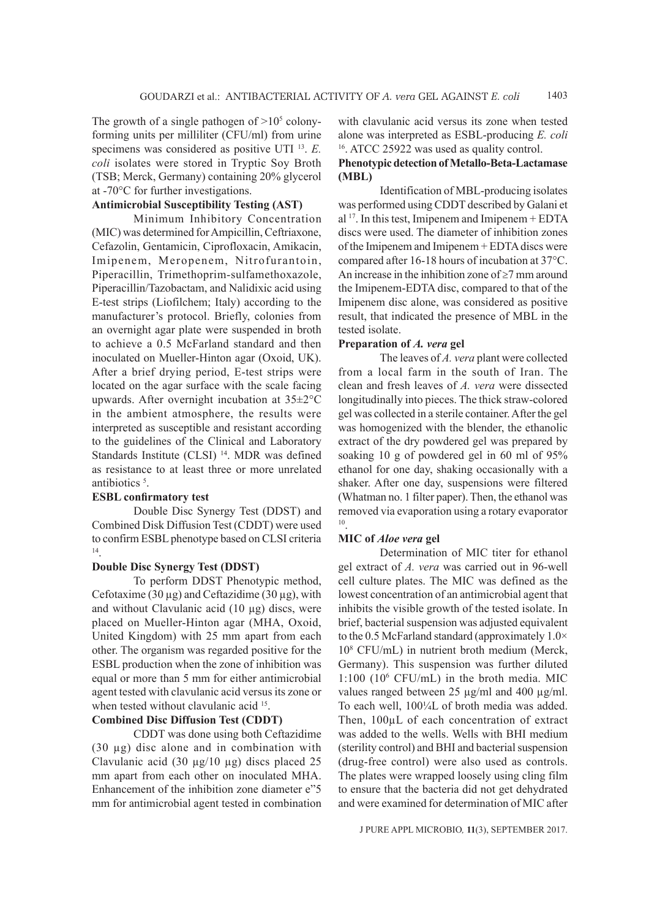The growth of a single pathogen of  $>10<sup>5</sup>$  colonyforming units per milliliter (CFU/ml) from urine specimens was considered as positive UTI 13. *E. coli* isolates were stored in Tryptic Soy Broth (TSB; Merck, Germany) containing 20% glycerol at -70°C for further investigations.

# **Antimicrobial Susceptibility Testing (AST)**

Minimum Inhibitory Concentration (MIC) was determined for Ampicillin, Ceftriaxone, Cefazolin, Gentamicin, Ciprofloxacin, Amikacin, Imipenem, Meropenem, Nitrofurantoin, Piperacillin, Trimethoprim-sulfamethoxazole, Piperacillin/Tazobactam, and Nalidixic acid using E-test strips (Liofilchem; Italy) according to the manufacturer's protocol. Briefly, colonies from an overnight agar plate were suspended in broth to achieve a 0.5 McFarland standard and then inoculated on Mueller-Hinton agar (Oxoid, UK). After a brief drying period, E-test strips were located on the agar surface with the scale facing upwards. After overnight incubation at 35±2°C in the ambient atmosphere, the results were interpreted as susceptible and resistant according to the guidelines of the Clinical and Laboratory Standards Institute (CLSI)<sup>14</sup>. MDR was defined as resistance to at least three or more unrelated antibiotics<sup>5</sup>.

# **ESBL confirmatory test**

Double Disc Synergy Test (DDST) and Combined Disk Diffusion Test (CDDT) were used to confirm ESBL phenotype based on CLSI criteria 14.

### **Double Disc Synergy Test (DDST)**

To perform DDST Phenotypic method, Cefotaxime (30  $\mu$ g) and Ceftazidime (30  $\mu$ g), with and without Clavulanic acid  $(10 \mu g)$  discs, were placed on Mueller-Hinton agar (MHA, Oxoid, United Kingdom) with 25 mm apart from each other. The organism was regarded positive for the ESBL production when the zone of inhibition was equal or more than 5 mm for either antimicrobial agent tested with clavulanic acid versus its zone or when tested without clavulanic acid <sup>15</sup>.

# **Combined Disc Diffusion Test (CDDT)**

CDDT was done using both Ceftazidime (30 µg) disc alone and in combination with Clavulanic acid (30  $\mu$ g/10  $\mu$ g) discs placed 25 mm apart from each other on inoculated MHA. Enhancement of the inhibition zone diameter e"5 mm for antimicrobial agent tested in combination with clavulanic acid versus its zone when tested alone was interpreted as ESBL-producing *E. coli* 16. ATCC 25922 was used as quality control.

# **Phenotypic detection of Metallo-Beta-Lactamase (MBL)**

Identification of MBL-producing isolates was performed using CDDT described by Galani et al  $17$ . In this test, Imipenem and Imipenem + EDTA discs were used. The diameter of inhibition zones of the Imipenem and Imipenem + EDTA discs were compared after 16-18 hours of incubation at 37°C. An increase in the inhibition zone of ≥7 mm around the Imipenem-EDTA disc, compared to that of the Imipenem disc alone, was considered as positive result, that indicated the presence of MBL in the tested isolate.

# **Preparation of** *A. vera* **gel**

The leaves of *A. vera* plant were collected from a local farm in the south of Iran. The clean and fresh leaves of *A. vera* were dissected longitudinally into pieces. The thick straw-colored gel was collected in a sterile container. After the gel was homogenized with the blender, the ethanolic extract of the dry powdered gel was prepared by soaking 10 g of powdered gel in 60 ml of 95% ethanol for one day, shaking occasionally with a shaker. After one day, suspensions were filtered (Whatman no. 1 filter paper). Then, the ethanol was removed via evaporation using a rotary evaporator 10.

#### **MIC of** *Aloe vera* **gel**

Determination of MIC titer for ethanol gel extract of *A. vera* was carried out in 96-well cell culture plates. The MIC was defined as the lowest concentration of an antimicrobial agent that inhibits the visible growth of the tested isolate. In brief, bacterial suspension was adjusted equivalent to the 0.5 McFarland standard (approximately  $1.0\times$ 108 CFU/mL) in nutrient broth medium (Merck, Germany). This suspension was further diluted 1:100 (106 CFU/mL) in the broth media. MIC values ranged between 25 µg/ml and 400 µg/ml. To each well, 100¼L of broth media was added. Then, 100µL of each concentration of extract was added to the wells. Wells with BHI medium (sterility control) and BHI and bacterial suspension (drug-free control) were also used as controls. The plates were wrapped loosely using cling film to ensure that the bacteria did not get dehydrated and were examined for determination of MIC after

J PURE APPL MICROBIO*,* **11**(3), SEPTEMBER 2017.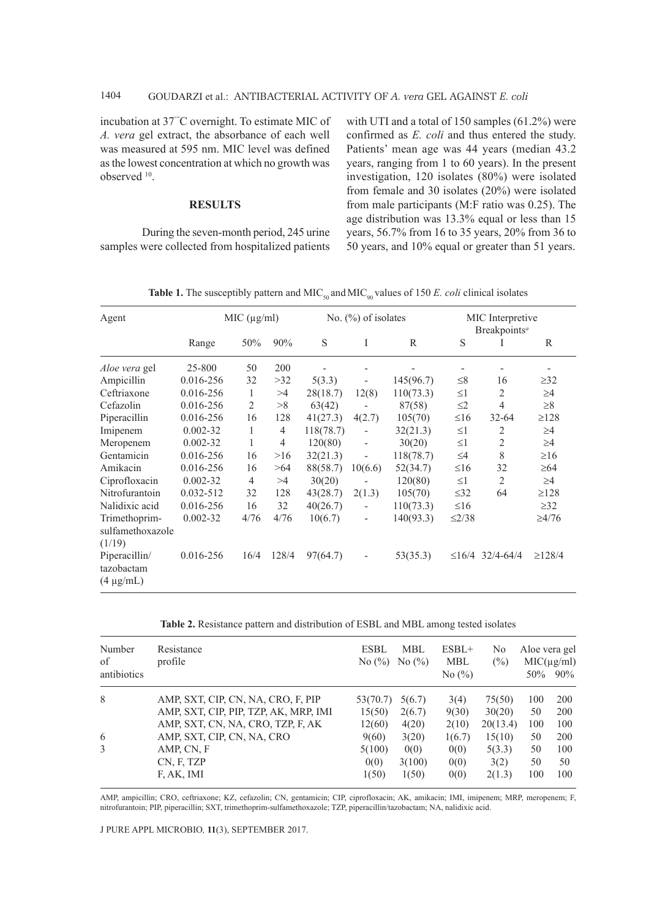incubation at 37'"C overnight. To estimate MIC of *A. vera* gel extract, the absorbance of each well was measured at 595 nm. MIC level was defined as the lowest concentration at which no growth was observed 10.

#### **RESULTS**

During the seven-month period, 245 urine samples were collected from hospitalized patients with UTI and a total of 150 samples (61.2%) were confirmed as *E. coli* and thus entered the study. Patients' mean age was 44 years (median 43.2 years, ranging from 1 to 60 years). In the present investigation, 120 isolates (80%) were isolated from female and 30 isolates (20%) were isolated from male participants (M:F ratio was 0.25). The age distribution was 13.3% equal or less than 15 years, 56.7% from 16 to 35 years, 20% from 36 to 50 years, and 10% equal or greater than 51 years.

| Agent                                         | MIC (µg/ml)  |      |                | No. $(\%)$ of isolates |                          |                | MIC Interpretive<br>Breakpoints <sup>a</sup> |                |              |
|-----------------------------------------------|--------------|------|----------------|------------------------|--------------------------|----------------|----------------------------------------------|----------------|--------------|
|                                               | Range        | 50%  | 90%            | S                      | I                        | R              | S                                            | T              | R            |
| Aloe vera gel                                 | 25-800       | 50   | 200            |                        |                          | $\overline{a}$ |                                              | $\overline{a}$ | -            |
| Ampicillin                                    | 0.016-256    | 32   | >32            | 5(3.3)                 |                          | 145(96.7)      | $\leq 8$                                     | 16             | $\geq$ 32    |
| Ceftriaxone                                   | 0.016-256    | 1    | >4             | 28(18.7)               | 12(8)                    | 110(73.3)      | $\leq$ 1                                     | 2              | $\geq$ 4     |
| Cefazolin                                     | 0.016-256    | 2    | >8             | 63(42)                 |                          | 87(58)         | $\leq$ 2                                     | 4              | $\geq 8$     |
| Piperacillin                                  | 0.016-256    | 16   | 128            | 41(27.3)               | 4(2.7)                   | 105(70)        | $\leq 16$                                    | $32 - 64$      | $\geq$ 128   |
| Imipenem                                      | $0.002 - 32$ | 1    | $\overline{4}$ | 118(78.7)              |                          | 32(21.3)       | $\leq1$                                      | 2              | $\geq$ 4     |
| Meropenem                                     | $0.002 - 32$ | 1    | $\overline{4}$ | 120(80)                |                          | 30(20)         | $\leq$ 1                                     | 2              | $\geq$ 4     |
| Gentamicin                                    | 0.016-256    | 16   | >16            | 32(21.3)               | $\overline{\phantom{0}}$ | 118(78.7)      | $\leq$ 4                                     | 8              | $\geq 16$    |
| Amikacin                                      | 0.016-256    | 16   | >64            | 88(58.7)               | 10(6.6)                  | 52(34.7)       | $\leq 16$                                    | 32             | $\geq 64$    |
| Ciprofloxacin                                 | $0.002 - 32$ | 4    | >4             | 30(20)                 |                          | 120(80)        | $\leq1$                                      | 2              | $\geq$ 4     |
| Nitrofurantoin                                | 0.032-512    | 32   | 128            | 43(28.7)               | 2(1.3)                   | 105(70)        | $\leq$ 32                                    | 64             | $\geq$ 128   |
| Nalidixic acid                                | 0.016-256    | 16   | 32             | 40(26.7)               | $\overline{\phantom{0}}$ | 110(73.3)      | $\leq 16$                                    |                | $\geq$ 32    |
| Trimethoprim-<br>sulfamethoxazole<br>(1/19)   | $0.002 - 32$ | 4/76 | 4/76           | 10(6.7)                |                          | 140(93.3)      | $\leq$ 2/38                                  |                | $\geq 4/76$  |
| Piperacillin/<br>tazobactam<br>$(4 \mu g/mL)$ | 0.016-256    | 16/4 | 128/4          | 97(64.7)               |                          | 53(35.3)       | $\leq$ 16/4                                  | $32/4 - 64/4$  | $\geq$ 128/4 |

**Table 1.** The susceptibly pattern and MIC<sub>50</sub> and MIC<sub>90</sub> values of 150 *E. coli* clinical isolates

**Table 2.** Resistance pattern and distribution of ESBL and MBL among tested isolates

| Number<br>of<br>antibiotics | Resistance<br>profile                 | <b>ESBL</b><br>No $\left(\frac{9}{0}\right)$ | <b>MBL</b><br>No $(\%)$ | $ESBL+$<br><b>MBL</b><br>No $(\%)$ | No<br>(%) | Aloe vera gel<br>$50\%$ | $MIC(\mu g/ml)$<br>$90\%$ |
|-----------------------------|---------------------------------------|----------------------------------------------|-------------------------|------------------------------------|-----------|-------------------------|---------------------------|
| 8                           | AMP, SXT, CIP, CN, NA, CRO, F, PIP    | 53(70.7)                                     | 5(6.7)                  | 3(4)                               | 75(50)    | 100                     | 200                       |
|                             | AMP, SXT, CIP, PIP, TZP, AK, MRP, IMI | 15(50)                                       | 2(6.7)                  | 9(30)                              | 30(20)    | 50                      | 200                       |
|                             | AMP, SXT, CN, NA, CRO, TZP, F, AK     | 12(60)                                       | 4(20)                   | 2(10)                              | 20(13.4)  | 100                     | 100                       |
| 6                           | AMP, SXT, CIP, CN, NA, CRO            | 9(60)                                        | 3(20)                   | 1(6.7)                             | 15(10)    | 50                      | 200                       |
| 3                           | AMP, CN, F                            | 5(100)                                       | 0(0)                    | 0(0)                               | 5(3.3)    | 50                      | 100                       |
|                             | CN, F, TZP                            | 0(0)                                         | 3(100)                  | 0(0)                               | 3(2)      | 50                      | 50                        |
|                             | F, AK, IMI                            | 1(50)                                        | 1(50)                   | 0(0)                               | 2(1.3)    | 100                     | 100                       |

AMP, ampicillin; CRO, ceftriaxone; KZ, cefazolin; CN, gentamicin; CIP, ciprofloxacin; AK, amikacin; IMI, imipenem; MRP, meropenem; F, nitrofurantoin; PIP, piperacillin; SXT, trimethoprim-sulfamethoxazole; TZP, piperacillin/tazobactam; NA, nalidixic acid.

J PURE APPL MICROBIO*,* **11**(3), SEPTEMBER 2017.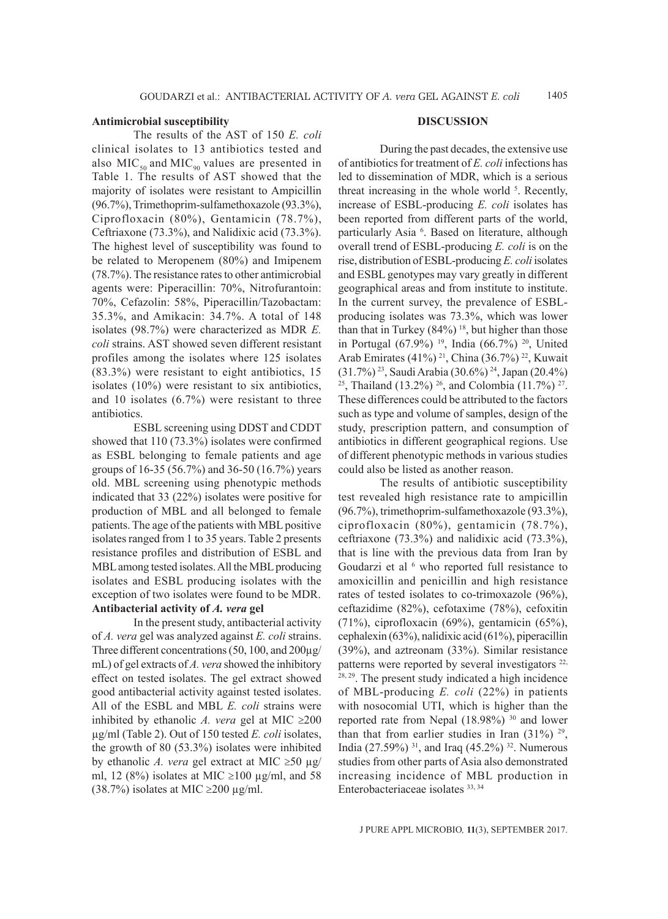#### **Antimicrobial susceptibility**

The results of the AST of 150 *E. coli* clinical isolates to 13 antibiotics tested and also  $MIC<sub>50</sub>$  and  $MIC<sub>90</sub>$  values are presented in Table 1. The results of AST showed that the majority of isolates were resistant to Ampicillin (96.7%), Trimethoprim-sulfamethoxazole (93.3%), Ciprofloxacin (80%), Gentamicin (78.7%), Ceftriaxone (73.3%), and Nalidixic acid (73.3%). The highest level of susceptibility was found to be related to Meropenem (80%) and Imipenem (78.7%). The resistance rates to other antimicrobial agents were: Piperacillin: 70%, Nitrofurantoin: 70%, Cefazolin: 58%, Piperacillin/Tazobactam: 35.3%, and Amikacin: 34.7%. A total of 148 isolates (98.7%) were characterized as MDR *E. coli* strains. AST showed seven different resistant profiles among the isolates where 125 isolates (83.3%) were resistant to eight antibiotics, 15 isolates (10%) were resistant to six antibiotics, and 10 isolates (6.7%) were resistant to three antibiotics.

ESBL screening using DDST and CDDT showed that 110 (73.3%) isolates were confirmed as ESBL belonging to female patients and age groups of 16-35 (56.7%) and 36-50 (16.7%) years old. MBL screening using phenotypic methods indicated that 33 (22%) isolates were positive for production of MBL and all belonged to female patients. The age of the patients with MBL positive isolates ranged from 1 to 35 years. Table 2 presents resistance profiles and distribution of ESBL and MBL among tested isolates. All the MBL producing isolates and ESBL producing isolates with the exception of two isolates were found to be MDR. **Antibacterial activity of** *A. vera* **gel**

In the present study, antibacterial activity of *A. vera* gel was analyzed against *E. coli* strains. Three different concentrations (50, 100, and 200µg/ mL) of gel extracts of *A. vera* showed the inhibitory effect on tested isolates. The gel extract showed good antibacterial activity against tested isolates. All of the ESBL and MBL *E. coli* strains were inhibited by ethanolic *A. vera* gel at MIC  $\geq$ 200 µg/ml (Table 2). Out of 150 tested *E. coli* isolates, the growth of 80 (53.3%) isolates were inhibited by ethanolic *A. vera* gel extract at MIC ≥50 µg/ ml, 12 (8%) isolates at MIC ≥100  $\mu$ g/ml, and 58 (38.7%) isolates at MIC  $\geq$ 200 µg/ml.

#### **DISCUSSION**

During the past decades, the extensive use of antibiotics for treatment of *E. coli* infections has led to dissemination of MDR, which is a serious threat increasing in the whole world  $5$ . Recently, increase of ESBL-producing *E. coli* isolates has been reported from different parts of the world, particularly Asia <sup>6</sup>. Based on literature, although overall trend of ESBL-producing *E. coli* is on the rise, distribution of ESBL-producing *E. coli* isolates and ESBL genotypes may vary greatly in different geographical areas and from institute to institute. In the current survey, the prevalence of ESBLproducing isolates was 73.3%, which was lower than that in Turkey  $(84%)$ <sup>18</sup>, but higher than those in Portugal (67.9%)<sup>19</sup>, India (66.7%)<sup>20</sup>, United Arab Emirates (41%)<sup>21</sup>, China (36.7%)<sup>22</sup>, Kuwait (31.7%) <sup>23</sup>, Saudi Arabia (30.6%) <sup>24</sup>, Japan (20.4%) <sup>25</sup>, Thailand (13.2%) <sup>26</sup>, and Colombia (11.7%) <sup>27</sup>. These differences could be attributed to the factors such as type and volume of samples, design of the study, prescription pattern, and consumption of antibiotics in different geographical regions. Use of different phenotypic methods in various studies could also be listed as another reason.

The results of antibiotic susceptibility test revealed high resistance rate to ampicillin (96.7%), trimethoprim-sulfamethoxazole (93.3%), ciprofloxacin (80%), gentamicin (78.7%), ceftriaxone (73.3%) and nalidixic acid (73.3%), that is line with the previous data from Iran by Goudarzi et al <sup>6</sup> who reported full resistance to amoxicillin and penicillin and high resistance rates of tested isolates to co-trimoxazole (96%), ceftazidime (82%), cefotaxime (78%), cefoxitin (71%), ciprofloxacin (69%), gentamicin (65%), cephalexin (63%), nalidixic acid (61%), piperacillin (39%), and aztreonam (33%). Similar resistance patterns were reported by several investigators<sup>22,</sup>  $28, 29$ . The present study indicated a high incidence of MBL-producing *E. coli* (22%) in patients with nosocomial UTI, which is higher than the reported rate from Nepal (18.98%)<sup>30</sup> and lower than that from earlier studies in Iran  $(31\%)$ <sup>29</sup>, India (27.59%) <sup>31</sup>, and Iraq (45.2%) <sup>32</sup>. Numerous studies from other parts of Asia also demonstrated increasing incidence of MBL production in Enterobacteriaceae isolates 33, 34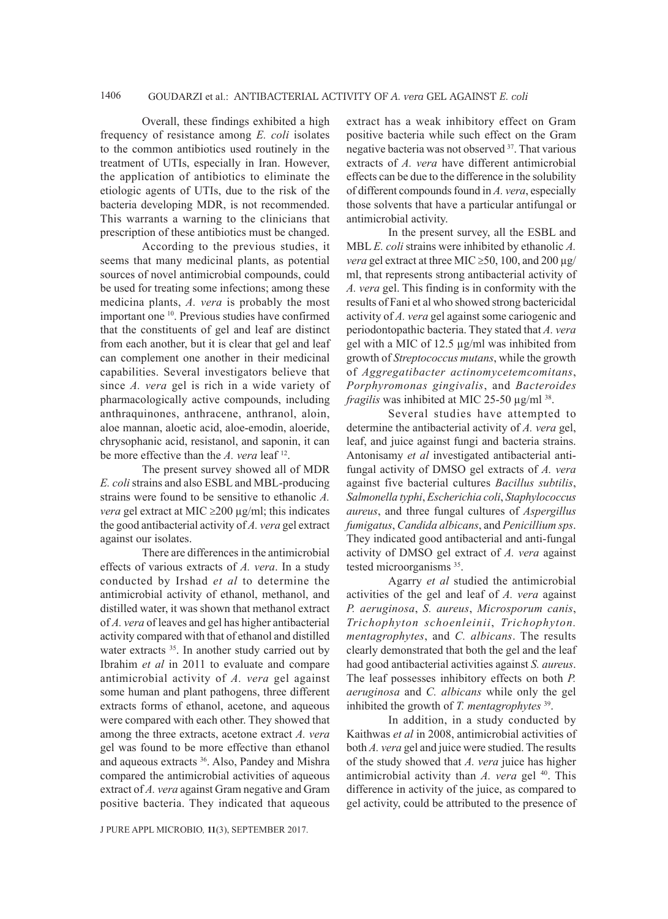Overall, these findings exhibited a high frequency of resistance among *E. coli* isolates to the common antibiotics used routinely in the treatment of UTIs, especially in Iran. However, the application of antibiotics to eliminate the etiologic agents of UTIs, due to the risk of the bacteria developing MDR, is not recommended. This warrants a warning to the clinicians that prescription of these antibiotics must be changed.

According to the previous studies, it seems that many medicinal plants, as potential sources of novel antimicrobial compounds, could be used for treating some infections; among these medicina plants, *A. vera* is probably the most important one 10. Previous studies have confirmed that the constituents of gel and leaf are distinct from each another, but it is clear that gel and leaf can complement one another in their medicinal capabilities. Several investigators believe that since *A. vera* gel is rich in a wide variety of pharmacologically active compounds, including anthraquinones, anthracene, anthranol, aloin, aloe mannan, aloetic acid, aloe-emodin, aloeride, chrysophanic acid, resistanol, and saponin, it can be more effective than the *A. vera* leaf 12.

The present survey showed all of MDR *E. coli* strains and also ESBL and MBL-producing strains were found to be sensitive to ethanolic *A. vera* gel extract at MIC ≥200 μg/ml; this indicates the good antibacterial activity of *A. vera* gel extract against our isolates.

There are differences in the antimicrobial effects of various extracts of *A. vera*. In a study conducted by Irshad *et al* to determine the antimicrobial activity of ethanol, methanol, and distilled water, it was shown that methanol extract of *A. vera* of leaves and gel has higher antibacterial activity compared with that of ethanol and distilled water extracts <sup>35</sup>. In another study carried out by Ibrahim *et al* in 2011 to evaluate and compare antimicrobial activity of *A. vera* gel against some human and plant pathogens, three different extracts forms of ethanol, acetone, and aqueous were compared with each other. They showed that among the three extracts, acetone extract *A. vera* gel was found to be more effective than ethanol and aqueous extracts 36. Also, Pandey and Mishra compared the antimicrobial activities of aqueous extract of *A. vera* against Gram negative and Gram positive bacteria. They indicated that aqueous

J PURE APPL MICROBIO*,* **11**(3), SEPTEMBER 2017.

extract has a weak inhibitory effect on Gram positive bacteria while such effect on the Gram negative bacteria was not observed 37. That various extracts of *A. vera* have different antimicrobial effects can be due to the difference in the solubility of different compounds found in *A. vera*, especially those solvents that have a particular antifungal or antimicrobial activity.

In the present survey, all the ESBL and MBL *E. coli* strains were inhibited by ethanolic *A. vera* gel extract at three MIC  $\geq$ 50, 100, and 200  $\mu$ g/ ml, that represents strong antibacterial activity of *A. vera* gel. This finding is in conformity with the results of Fani et al who showed strong bactericidal activity of *A. vera* gel against some cariogenic and periodontopathic bacteria. They stated that *A. vera* gel with a MIC of 12.5 µg/ml was inhibited from growth of *Streptococcus mutans*, while the growth of *Aggregatibacter actinomycetemcomitans*, *Porphyromonas gingivalis*, and *Bacteroides fragilis* was inhibited at MIC 25-50 µg/ml 38.

Several studies have attempted to determine the antibacterial activity of *A. vera* gel, leaf, and juice against fungi and bacteria strains. Antonisamy *et al* investigated antibacterial antifungal activity of DMSO gel extracts of *A. vera* against five bacterial cultures *Bacillus subtilis*, *Salmonella typhi*, *Escherichia coli*, *Staphylococcus aureus*, and three fungal cultures of *Aspergillus fumigatus*, *Candida albicans*, and *Penicillium sps*. They indicated good antibacterial and anti-fungal activity of DMSO gel extract of *A. vera* against tested microorganisms <sup>35</sup>.

Agarry *et al* studied the antimicrobial activities of the gel and leaf of *A. vera* against *P. aeruginosa*, *S. aureus*, *Microsporum canis*, *Trichophyton schoenleinii*, *Trichophyton. mentagrophytes*, and *C. albicans*. The results clearly demonstrated that both the gel and the leaf had good antibacterial activities against *S. aureus*. The leaf possesses inhibitory effects on both *P. aeruginosa* and *C. albicans* while only the gel inhibited the growth of *T. mentagrophytes* 39.

In addition, in a study conducted by Kaithwas *et al* in 2008, antimicrobial activities of both *A. vera* gel and juice were studied. The results of the study showed that *A. vera* juice has higher antimicrobial activity than *A. vera* gel <sup>40</sup>. This difference in activity of the juice, as compared to gel activity, could be attributed to the presence of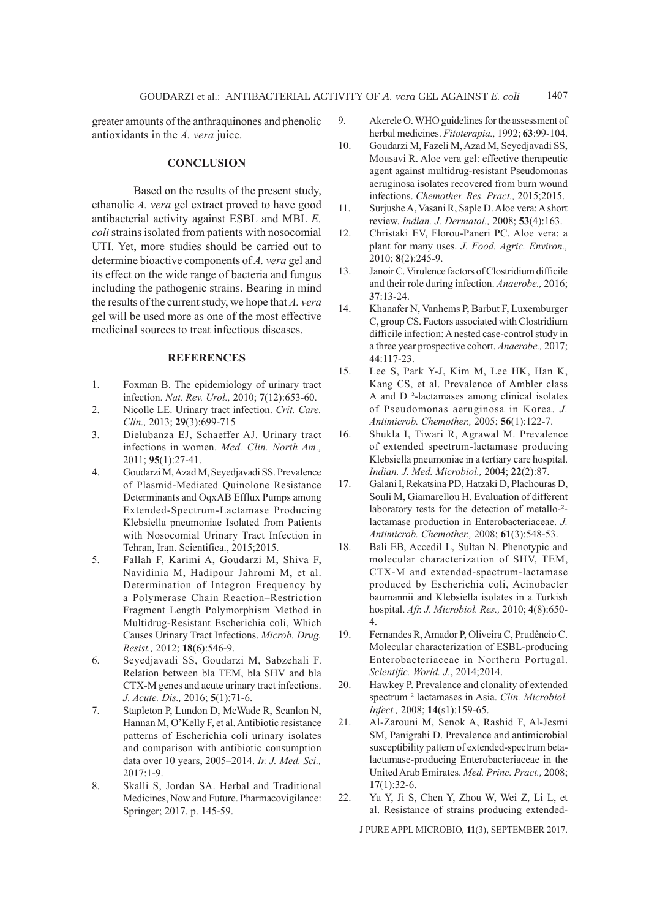greater amounts of the anthraquinones and phenolic antioxidants in the *A. vera* juice.

### **CONCLUSION**

Based on the results of the present study, ethanolic *A. vera* gel extract proved to have good antibacterial activity against ESBL and MBL *E. coli* strains isolated from patients with nosocomial UTI. Yet, more studies should be carried out to determine bioactive components of *A. vera* gel and its effect on the wide range of bacteria and fungus including the pathogenic strains. Bearing in mind the results of the current study, we hope that *A. vera* gel will be used more as one of the most effective medicinal sources to treat infectious diseases.

### **REFERENCES**

- 1. Foxman B. The epidemiology of urinary tract infection. *Nat. Rev. Urol.,* 2010; **7**(12):653-60.
- 2. Nicolle LE. Urinary tract infection. *Crit. Care. Clin.,* 2013; **29**(3):699-715
- 3. Dielubanza EJ, Schaeffer AJ. Urinary tract infections in women. *Med. Clin. North Am.,*  2011; **95**(1):27-41.
- 4. Goudarzi M, Azad M, Seyedjavadi SS. Prevalence of Plasmid-Mediated Quinolone Resistance Determinants and OqxAB Efflux Pumps among Extended-Spectrum-Lactamase Producing Klebsiella pneumoniae Isolated from Patients with Nosocomial Urinary Tract Infection in Tehran, Iran. Scientifica., 2015;2015.
- 5. Fallah F, Karimi A, Goudarzi M, Shiva F, Navidinia M, Hadipour Jahromi M, et al. Determination of Integron Frequency by a Polymerase Chain Reaction–Restriction Fragment Length Polymorphism Method in Multidrug-Resistant Escherichia coli, Which Causes Urinary Tract Infections. *Microb. Drug. Resist.,* 2012; **18**(6):546-9.
- 6. Seyedjavadi SS, Goudarzi M, Sabzehali F. Relation between bla TEM, bla SHV and bla CTX-M genes and acute urinary tract infections. *J. Acute. Dis.,* 2016; **5**(1):71-6.
- 7. Stapleton P, Lundon D, McWade R, Scanlon N, Hannan M, O'Kelly F, et al. Antibiotic resistance patterns of Escherichia coli urinary isolates and comparison with antibiotic consumption data over 10 years, 2005–2014. *Ir. J. Med. Sci.,*  2017:1-9.
- 8. Skalli S, Jordan SA. Herbal and Traditional Medicines, Now and Future. Pharmacovigilance: Springer; 2017. p. 145-59.
- 9. Akerele O. WHO guidelines for the assessment of herbal medicines. *Fitoterapia.,* 1992; **63**:99-104.
- 10. Goudarzi M, Fazeli M, Azad M, Seyedjavadi SS, Mousavi R. Aloe vera gel: effective therapeutic agent against multidrug-resistant Pseudomonas aeruginosa isolates recovered from burn wound infections. *Chemother. Res. Pract.,* 2015;2015.
- 11. Surjushe A, Vasani R, Saple D. Aloe vera: A short review. *Indian. J. Dermatol.,* 2008; **53**(4):163.
- 12. Christaki EV, Florou-Paneri PC. Aloe vera: a plant for many uses. *J. Food. Agric. Environ.,*  2010; **8**(2):245-9.
- 13. Janoir C. Virulence factors of Clostridium difficile and their role during infection. *Anaerobe.,* 2016; **37**:13-24.
- 14. Khanafer N, Vanhems P, Barbut F, Luxemburger C, group CS. Factors associated with Clostridium difficile infection: A nested case-control study in a three year prospective cohort. *Anaerobe.,* 2017; **44**:117-23.
- 15. Lee S, Park Y-J, Kim M, Lee HK, Han K, Kang CS, et al. Prevalence of Ambler class A and D ²-lactamases among clinical isolates of Pseudomonas aeruginosa in Korea. *J. Antimicrob. Chemother.,* 2005; **56**(1):122-7.
- 16. Shukla I, Tiwari R, Agrawal M. Prevalence of extended spectrum-lactamase producing Klebsiella pneumoniae in a tertiary care hospital. *Indian. J. Med. Microbiol.,* 2004; **22**(2):87.
- 17. Galani I, Rekatsina PD, Hatzaki D, Plachouras D, Souli M, Giamarellou H. Evaluation of different laboratory tests for the detection of metallo-<sup>2</sup>lactamase production in Enterobacteriaceae. *J. Antimicrob. Chemother.,* 2008; **61**(3):548-53.
- 18. Bali EB, Accedil L, Sultan N. Phenotypic and molecular characterization of SHV, TEM, CTX-M and extended-spectrum-lactamase produced by Escherichia coli, Acinobacter baumannii and Klebsiella isolates in a Turkish hospital. *Afr. J. Microbiol. Res.,* 2010; **4**(8):650- 4.
- 19. Fernandes R, Amador P, Oliveira C, Prudêncio C. Molecular characterization of ESBL-producing Enterobacteriaceae in Northern Portugal. *Scientific. World. J.*, 2014;2014.
- 20. Hawkey P. Prevalence and clonality of extended spectrum ² lactamases in Asia. *Clin. Microbiol. Infect.,* 2008; **14**(s1):159-65.
- 21. Al-Zarouni M, Senok A, Rashid F, Al-Jesmi SM, Panigrahi D. Prevalence and antimicrobial susceptibility pattern of extended-spectrum betalactamase-producing Enterobacteriaceae in the United Arab Emirates. *Med. Princ. Pract.,* 2008; **17**(1):32-6.
- 22. Yu Y, Ji S, Chen Y, Zhou W, Wei Z, Li L, et al. Resistance of strains producing extended-

J PURE APPL MICROBIO*,* **11**(3), SEPTEMBER 2017.